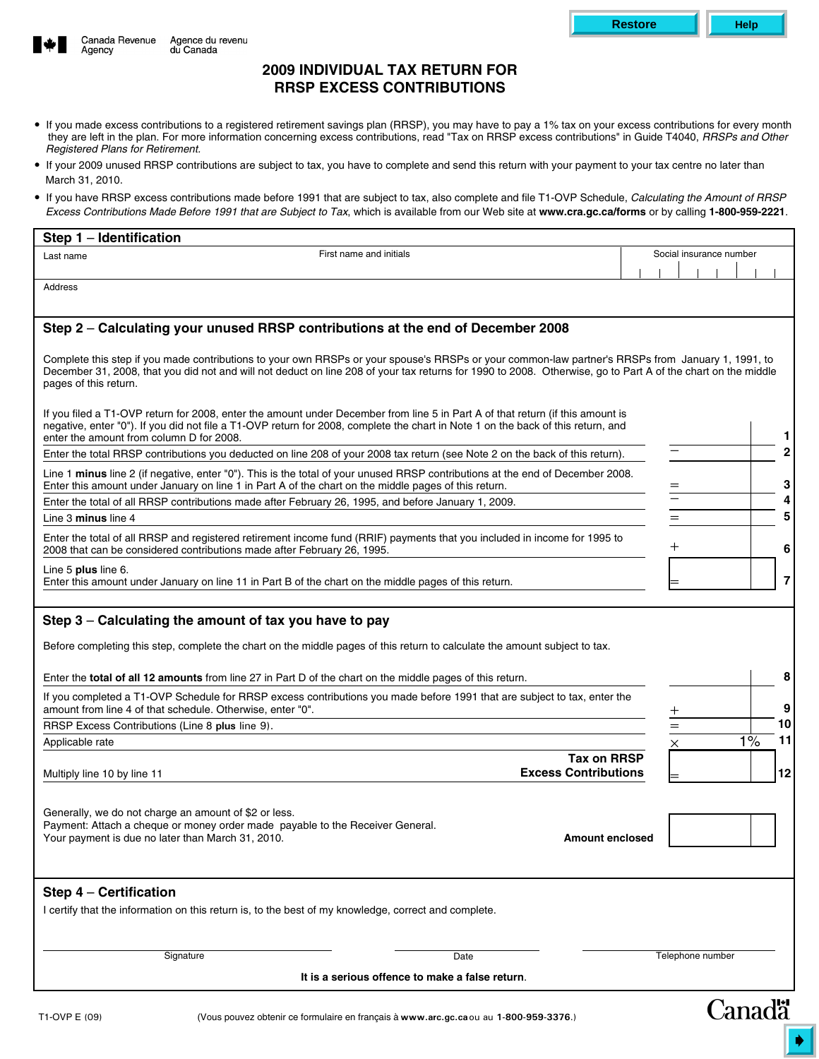

# **2009 INDIVIDUAL TAX RETURN FOR RRSP EXCESS CONTRIBUTIONS**

 If you made excess contributions to a registered retirement savings plan (RRSP), you may have to pay a 1% tax on your excess contributions for every month they are left in the plan. For more information concerning excess contributions, read "Tax on RRSP excess contributions" in Guide T4040, *RRSPs and Other Registered Plans for Retirement.*

**Restore Help**

- If your 2009 unused RRSP contributions are subject to tax, you have to complete and send this return with your payment to your tax centre no later than March 31, 2010.
- If you have RRSP excess contributions made before 1991 that are subject to tax, also complete and file T1-OVP Schedule, *Calculating the Amount of RRSP Excess Contributions Made Before 1991 that are Subject to Tax*, which is available from our Web site at **www.cra.gc.ca/forms** or by calling **1-800-959-2221**.

| First name and initials<br>Last name<br>Address<br>Step 2 - Calculating your unused RRSP contributions at the end of December 2008                                                                                                                                                                                                                                                                                                                                                                                                                                                                                                                                                                           | Social insurance number |                     |
|--------------------------------------------------------------------------------------------------------------------------------------------------------------------------------------------------------------------------------------------------------------------------------------------------------------------------------------------------------------------------------------------------------------------------------------------------------------------------------------------------------------------------------------------------------------------------------------------------------------------------------------------------------------------------------------------------------------|-------------------------|---------------------|
|                                                                                                                                                                                                                                                                                                                                                                                                                                                                                                                                                                                                                                                                                                              |                         |                     |
|                                                                                                                                                                                                                                                                                                                                                                                                                                                                                                                                                                                                                                                                                                              |                         |                     |
|                                                                                                                                                                                                                                                                                                                                                                                                                                                                                                                                                                                                                                                                                                              |                         |                     |
| Complete this step if you made contributions to your own RRSPs or your spouse's RRSPs or your common-law partner's RRSPs from January 1, 1991, to<br>December 31, 2008, that you did not and will not deduct on line 208 of your tax returns for 1990 to 2008. Otherwise, go to Part A of the chart on the middle<br>pages of this return.                                                                                                                                                                                                                                                                                                                                                                   |                         |                     |
| If you filed a T1-OVP return for 2008, enter the amount under December from line 5 in Part A of that return (if this amount is<br>negative, enter "0"). If you did not file a T1-OVP return for 2008, complete the chart in Note 1 on the back of this return, and<br>enter the amount from column D for 2008.                                                                                                                                                                                                                                                                                                                                                                                               |                         |                     |
| Enter the total RRSP contributions you deducted on line 208 of your 2008 tax return (see Note 2 on the back of this return).                                                                                                                                                                                                                                                                                                                                                                                                                                                                                                                                                                                 |                         |                     |
| Line 1 minus line 2 (if negative, enter "0"). This is the total of your unused RRSP contributions at the end of December 2008.<br>Enter this amount under January on line 1 in Part A of the chart on the middle pages of this return.                                                                                                                                                                                                                                                                                                                                                                                                                                                                       |                         |                     |
| Enter the total of all RRSP contributions made after February 26, 1995, and before January 1, 2009.                                                                                                                                                                                                                                                                                                                                                                                                                                                                                                                                                                                                          |                         |                     |
| Line 3 minus line 4                                                                                                                                                                                                                                                                                                                                                                                                                                                                                                                                                                                                                                                                                          | $=$                     | 5                   |
| Enter the total of all RRSP and registered retirement income fund (RRIF) payments that you included in income for 1995 to<br>2008 that can be considered contributions made after February 26, 1995.                                                                                                                                                                                                                                                                                                                                                                                                                                                                                                         | $\mathrm{+}$            | 6                   |
| Line 5 plus line 6.<br>Enter this amount under January on line 11 in Part B of the chart on the middle pages of this return.                                                                                                                                                                                                                                                                                                                                                                                                                                                                                                                                                                                 |                         | $\overline{7}$      |
|                                                                                                                                                                                                                                                                                                                                                                                                                                                                                                                                                                                                                                                                                                              |                         |                     |
|                                                                                                                                                                                                                                                                                                                                                                                                                                                                                                                                                                                                                                                                                                              |                         | 8                   |
|                                                                                                                                                                                                                                                                                                                                                                                                                                                                                                                                                                                                                                                                                                              | $^+$                    |                     |
|                                                                                                                                                                                                                                                                                                                                                                                                                                                                                                                                                                                                                                                                                                              | $=$                     |                     |
|                                                                                                                                                                                                                                                                                                                                                                                                                                                                                                                                                                                                                                                                                                              | 1%<br>×                 |                     |
| Enter the total of all 12 amounts from line 27 in Part D of the chart on the middle pages of this return.<br><b>Tax on RRSP</b><br><b>Excess Contributions</b>                                                                                                                                                                                                                                                                                                                                                                                                                                                                                                                                               |                         | 9<br>10<br>11<br>12 |
| Step 3 - Calculating the amount of tax you have to pay<br>Before completing this step, complete the chart on the middle pages of this return to calculate the amount subject to tax.<br>If you completed a T1-OVP Schedule for RRSP excess contributions you made before 1991 that are subject to tax, enter the<br>amount from line 4 of that schedule. Otherwise, enter "0".<br>RRSP Excess Contributions (Line 8 plus line 9).<br>Applicable rate<br>Multiply line 10 by line 11<br>Generally, we do not charge an amount of \$2 or less.<br>Payment: Attach a cheque or money order made payable to the Receiver General.<br>Your payment is due no later than March 31, 2010.<br><b>Amount enclosed</b> |                         |                     |
|                                                                                                                                                                                                                                                                                                                                                                                                                                                                                                                                                                                                                                                                                                              |                         |                     |
| Signature<br>Date                                                                                                                                                                                                                                                                                                                                                                                                                                                                                                                                                                                                                                                                                            | Telephone number        |                     |
|                                                                                                                                                                                                                                                                                                                                                                                                                                                                                                                                                                                                                                                                                                              |                         |                     |
| Step 4 - Certification<br>I certify that the information on this return is, to the best of my knowledge, correct and complete.                                                                                                                                                                                                                                                                                                                                                                                                                                                                                                                                                                               |                         |                     |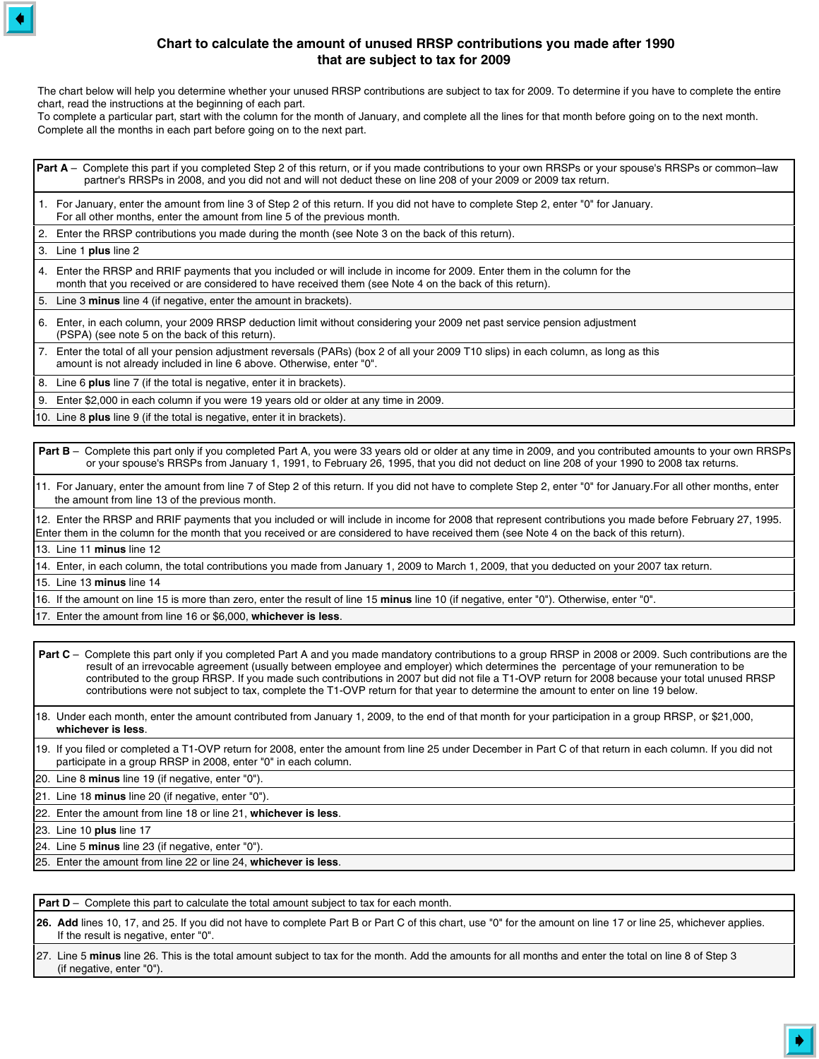## **Chart to calculate the amount of unused RRSP contributions you made after 1990 that are subject to tax for 2009**

The chart below will help you determine whether your unused RRSP contributions are subject to tax for 2009. To determine if you have to complete the entire chart, read the instructions at the beginning of each part.

To complete a particular part, start with the column for the month of January, and complete all the lines for that month before going on to the next month. Complete all the months in each part before going on to the next part.

Part A – Complete this part if you completed Step 2 of this return, or if you made contributions to your own RRSPs or your spouse's RRSPs or common–law partner's RRSPs in 2008, and you did not and will not deduct these on line 208 of your 2009 or 2009 tax return.

 1. For January, enter the amount from line 3 of Step 2 of this return. If you did not have to complete Step 2, enter "0" for January. For all other months, enter the amount from line 5 of the previous month.

2. Enter the RRSP contributions you made during the month (see Note 3 on the back of this return).

3. Line 1 **plus** line 2

 4. Enter the RRSP and RRIF payments that you included or will include in income for 2009. Enter them in the column for the month that you received or are considered to have received them (see Note 4 on the back of this return).

5. Line 3 **minus** line 4 (if negative, enter the amount in brackets).

 6. Enter, in each column, your 2009 RRSP deduction limit without considering your 2009 net past service pension adjustment (PSPA) (see note 5 on the back of this return).

 7. Enter the total of all your pension adjustment reversals (PARs) (box 2 of all your 2009 T10 slips) in each column, as long as this amount is not already included in line 6 above. Otherwise, enter "0".

8. Line 6 **plus** line 7 (if the total is negative, enter it in brackets).

9. Enter \$2,000 in each column if you were 19 years old or older at any time in 2009.

10. Line 8 **plus** line 9 (if the total is negative, enter it in brackets).

Part B – Complete this part only if you completed Part A, you were 33 years old or older at any time in 2009, and you contributed amounts to your own RRSPs or your spouse's RRSPs from January 1, 1991, to February 26, 1995, that you did not deduct on line 208 of your 1990 to 2008 tax returns.

11. For January, enter the amount from line 7 of Step 2 of this return. If you did not have to complete Step 2, enter "0" for January.For all other months, enter the amount from line 13 of the previous month.

12. Enter the RRSP and RRIF payments that you included or will include in income for 2008 that represent contributions you made before February 27, 1995. Enter them in the column for the month that you received or are considered to have received them (see Note 4 on the back of this return).

13. Line 11 **minus** line 12

14. Enter, in each column, the total contributions you made from January 1, 2009 to March 1, 2009, that you deducted on your 2007 tax return.

15. Line 13 **minus** line 14

16. If the amount on line 15 is more than zero, enter the result of line 15 **minus** line 10 (if negative, enter "0"). Otherwise, enter "0".

17. Enter the amount from line 16 or \$6,000, **whichever is less**.

Part C – Complete this part only if you completed Part A and you made mandatory contributions to a group RRSP in 2008 or 2009. Such contributions are the result of an irrevocable agreement (usually between employee and employer) which determines the percentage of your remuneration to be contributed to the group RRSP. If you made such contributions in 2007 but did not file a T1-OVP return for 2008 because your total unused RRSP contributions were not subject to tax, complete the T1-OVP return for that year to determine the amount to enter on line 19 below.

18. Under each month, enter the amount contributed from January 1, 2009, to the end of that month for your participation in a group RRSP, or \$21,000, **whichever is less**.

19. If you filed or completed a T1-OVP return for 2008, enter the amount from line 25 under December in Part C of that return in each column. If you did not participate in a group RRSP in 2008, enter "0" in each column.

20. Line 8 **minus** line 19 (if negative, enter "0").

21. Line 18 **minus** line 20 (if negative, enter "0").

22. Enter the amount from line 18 or line 21, **whichever is less**.

23. Line 10 **plus** line 17

24. Line 5 **minus** line 23 (if negative, enter "0").

25. Enter the amount from line 22 or line 24, **whichever is less**.

**Part D** – Complete this part to calculate the total amount subject to tax for each month.

 **26. Add** lines 10, 17, and 25. If you did not have to complete Part B or Part C of this chart, use "0" for the amount on line 17 or line 25, whichever applies. If the result is negative, enter "0".

 27. Line 5 **minus** line 26. This is the total amount subject to tax for the month. Add the amounts for all months and enter the total on line 8 of Step 3 (if negative, enter "0").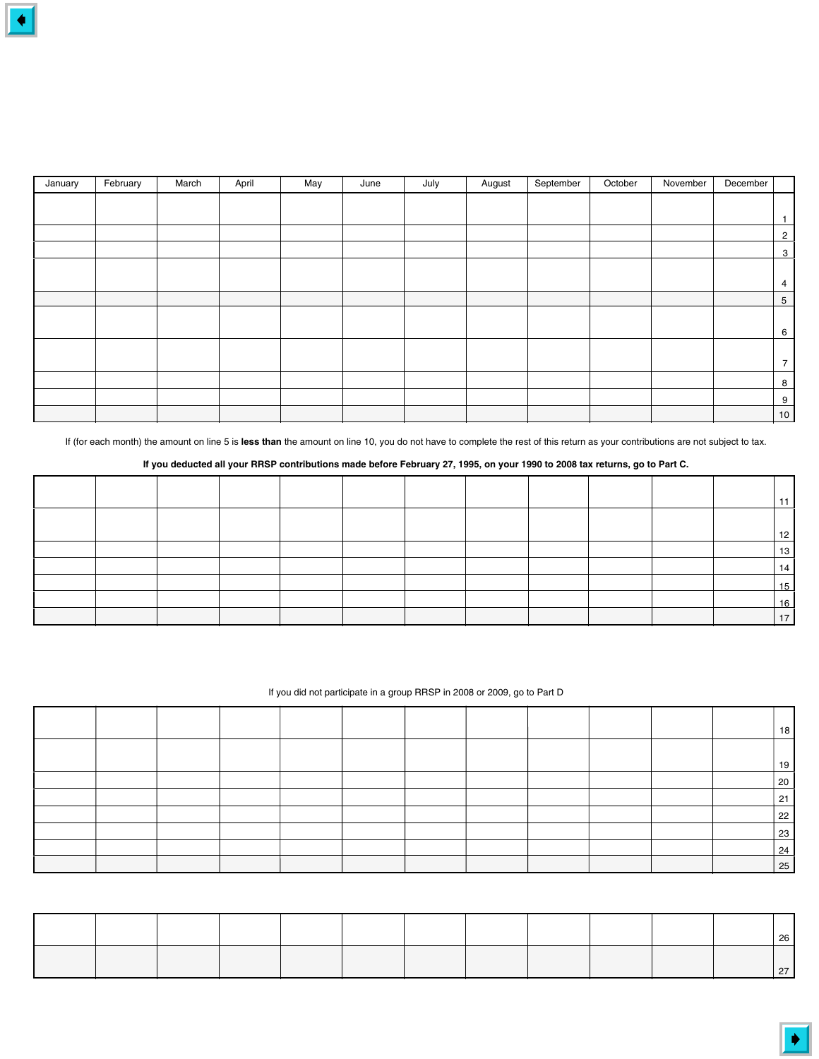| January | February | March | April | May | June | July | August | September | October | November | December |                 |
|---------|----------|-------|-------|-----|------|------|--------|-----------|---------|----------|----------|-----------------|
|         |          |       |       |     |      |      |        |           |         |          |          |                 |
|         |          |       |       |     |      |      |        |           |         |          |          |                 |
|         |          |       |       |     |      |      |        |           |         |          |          | $\overline{2}$  |
|         |          |       |       |     |      |      |        |           |         |          |          | $\mathbf{3}$    |
|         |          |       |       |     |      |      |        |           |         |          |          |                 |
|         |          |       |       |     |      |      |        |           |         |          |          | 4               |
|         |          |       |       |     |      |      |        |           |         |          |          | $5\phantom{.0}$ |
|         |          |       |       |     |      |      |        |           |         |          |          |                 |
|         |          |       |       |     |      |      |        |           |         |          |          | 6               |
|         |          |       |       |     |      |      |        |           |         |          |          |                 |
|         |          |       |       |     |      |      |        |           |         |          |          | $\overline{7}$  |
|         |          |       |       |     |      |      |        |           |         |          |          | 8               |
|         |          |       |       |     |      |      |        |           |         |          |          | 9               |
|         |          |       |       |     |      |      |        |           |         |          |          | 10 <sub>1</sub> |

If (for each month) the amount on line 5 is **less than** the amount on line 10, you do not have to complete the rest of this return as your contributions are not subject to tax.

**If you deducted all your RRSP contributions made before February 27, 1995, on your 1990 to 2008 tax returns, go to Part C.**

|  |  |  |  |  |  | . .      |
|--|--|--|--|--|--|----------|
|  |  |  |  |  |  |          |
|  |  |  |  |  |  | 12<br>13 |
|  |  |  |  |  |  | 14<br>15 |
|  |  |  |  |  |  | 16       |
|  |  |  |  |  |  | 17       |

### If you did not participate in a group RRSP in 2008 or 2009, go to Part D

|  |  |  |  |  |  | 18 |
|--|--|--|--|--|--|----|
|  |  |  |  |  |  | 19 |
|  |  |  |  |  |  | 20 |
|  |  |  |  |  |  | 21 |
|  |  |  |  |  |  | 22 |
|  |  |  |  |  |  | 23 |
|  |  |  |  |  |  | 24 |
|  |  |  |  |  |  | 25 |

| 26 |  |
|----|--|
|    |  |
|    |  |
|    |  |
|    |  |
|    |  |
|    |  |
|    |  |
|    |  |
|    |  |
|    |  |
|    |  |
|    |  |